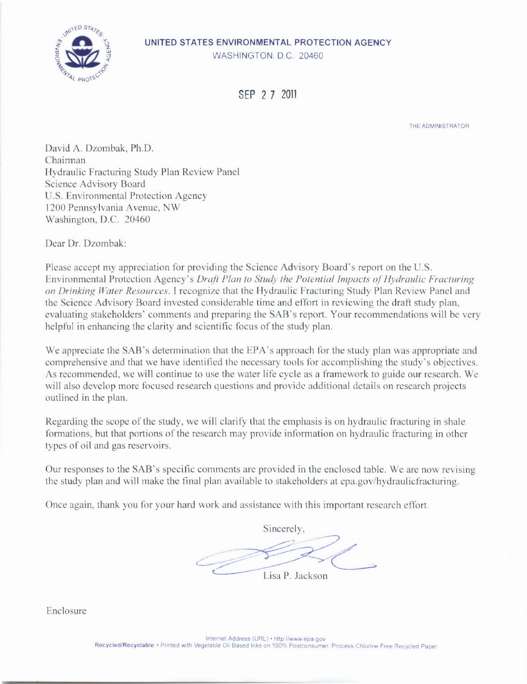## **UNITED STATES ENVIRONMENTAL PROTECTION AGENCY**  WASHINGTON, D.C. 20460



SFP 2 7 2011

THE ADMINISTRATOR

David A. Dzombak, Ph.D. Chairman Hydraulic Fracturing Study Plan Review Panel Science Advisory Board U.S. Environmental Protection Agency 1200 Pennsylvania Avenue, NW Washington, D.C. 20460

Dear Dr. Dzombak:

Please accept my appreciation for providing the Science Advisory Board's report on the U.S. *Environmental Protection Agency's Draft Plan to Study the Potential Impacts of Hydraulic Fracturing on Drinking Water Resources. I* recognize that the Hydraulic Fracturing Study Plan Review Panel and the Science Advisory Board invested considerable time and effort in reviewing the draft study plan, evaluating stakeholders' comments and preparing the SAB's report. Your recommendations will be very helpful in enhancing the clarity and scientific focus of the study plan.

We appreciate the SAB's determination that the EPA's approach for the study plan was appropriate and comprehensive and that we have identified the necessary tools for accomplishing the study's objectives. As recommended, we will continue to use the water life cycle as a framework to guide our research. We will also develop more focused research questions and provide additional details on research projects outlined in the plan.

Regarding the scope of the study, we will clarify that the emphasis is on hydraulic fracturing in shale formations, but that portions of the research may provide information on hydraulic fracturing in other types of oil and gas reservoirs.

Our responses to the SAB's specific comments are provided in the enclosed table. We are now revising the study plan and will make the final plan available to stakeholders at epa.gov/hydraulicfracturing.

Once again, thank you for your hard work and assistance with this important research effort.

Sincerely, Lisa P. Jackson

Enclosure